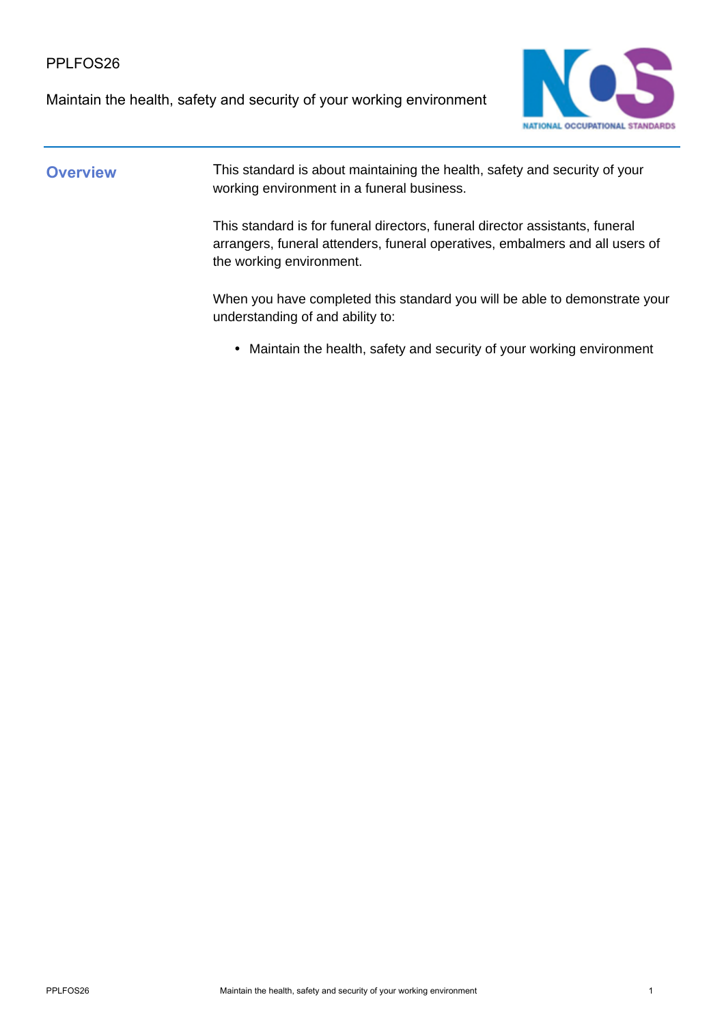Maintain the health, safety and security of your working environment



**Overview** This standard is about maintaining the health, safety and security of your working environment in a funeral business.

> This standard is for funeral directors, funeral director assistants, funeral arrangers, funeral attenders, funeral operatives, embalmers and all users of the working environment.

When you have completed this standard you will be able to demonstrate your understanding of and ability to:

• Maintain the health, safety and security of your working environment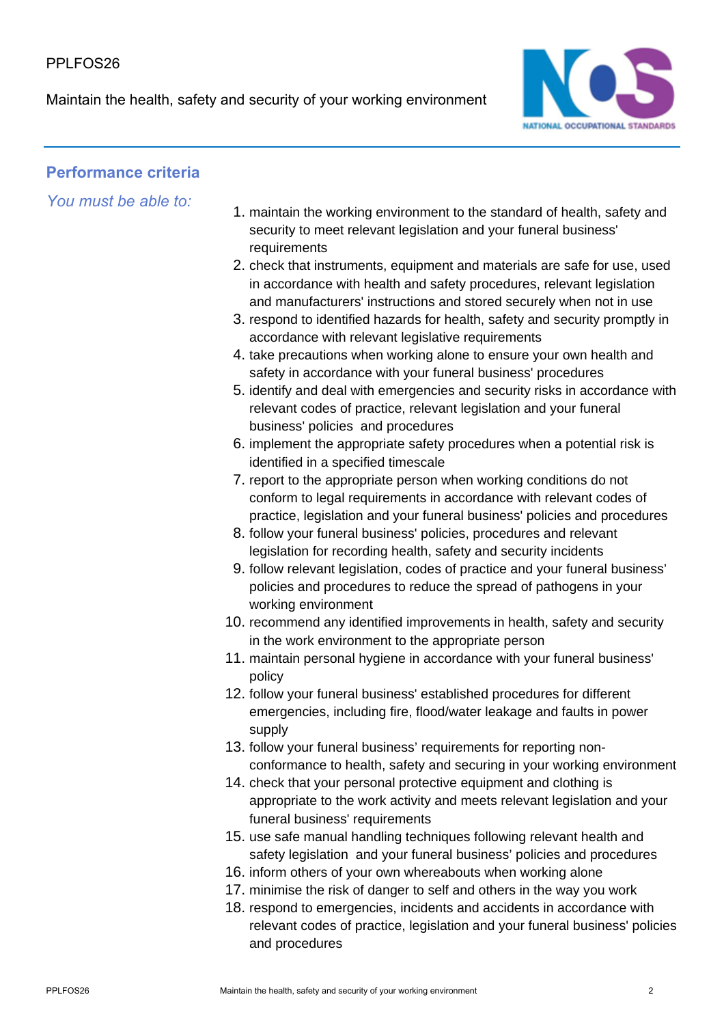Maintain the health, safety and security of your working environment



## **Performance criteria**

*You must be able to:*

- 1. maintain the working environment to the standard of health, safety and security to meet relevant legislation and your funeral business' requirements
- 2. check that instruments, equipment and materials are safe for use, used in accordance with health and safety procedures, relevant legislation and manufacturers' instructions and stored securely when not in use
- 3. respond to identified hazards for health, safety and security promptly in accordance with relevant legislative requirements
- 4. take precautions when working alone to ensure your own health and safety in accordance with your funeral business' procedures
- 5. identify and deal with emergencies and security risks in accordance with relevant codes of practice, relevant legislation and your funeral business' policies and procedures
- 6. implement the appropriate safety procedures when a potential risk is identified in a specified timescale
- 7. report to the appropriate person when working conditions do not conform to legal requirements in accordance with relevant codes of practice, legislation and your funeral business' policies and procedures
- 8. follow your funeral business' policies, procedures and relevant legislation for recording health, safety and security incidents
- 9. follow relevant legislation, codes of practice and your funeral business' policies and procedures to reduce the spread of pathogens in your working environment
- 10. recommend any identified improvements in health, safety and security in the work environment to the appropriate person
- 11. maintain personal hygiene in accordance with your funeral business' policy
- 12. follow your funeral business' established procedures for different emergencies, including fire, flood/water leakage and faults in power supply
- 13. follow your funeral business' requirements for reporting nonconformance to health, safety and securing in your working environment
- 14. check that your personal protective equipment and clothing is appropriate to the work activity and meets relevant legislation and your funeral business' requirements
- 15. use safe manual handling techniques following relevant health and safety legislation and your funeral business' policies and procedures
- 16. inform others of your own whereabouts when working alone
- 17. minimise the risk of danger to self and others in the way you work
- 18. respond to emergencies, incidents and accidents in accordance with relevant codes of practice, legislation and your funeral business' policies and procedures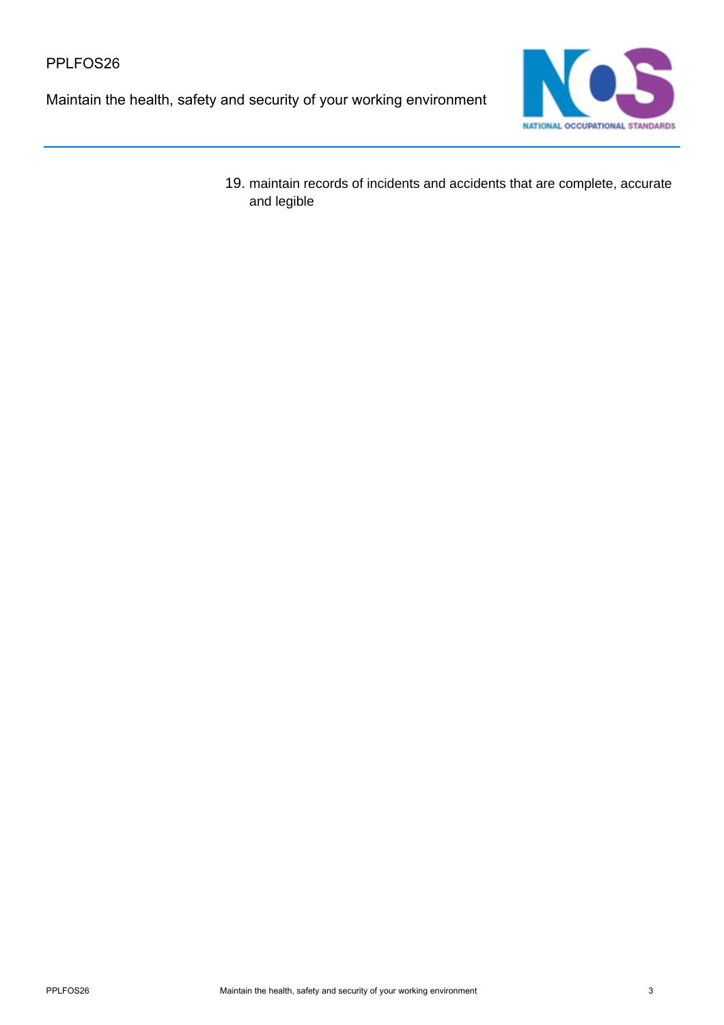Maintain the health, safety and security of your working environment



19. maintain records of incidents and accidents that are complete, accurate and legible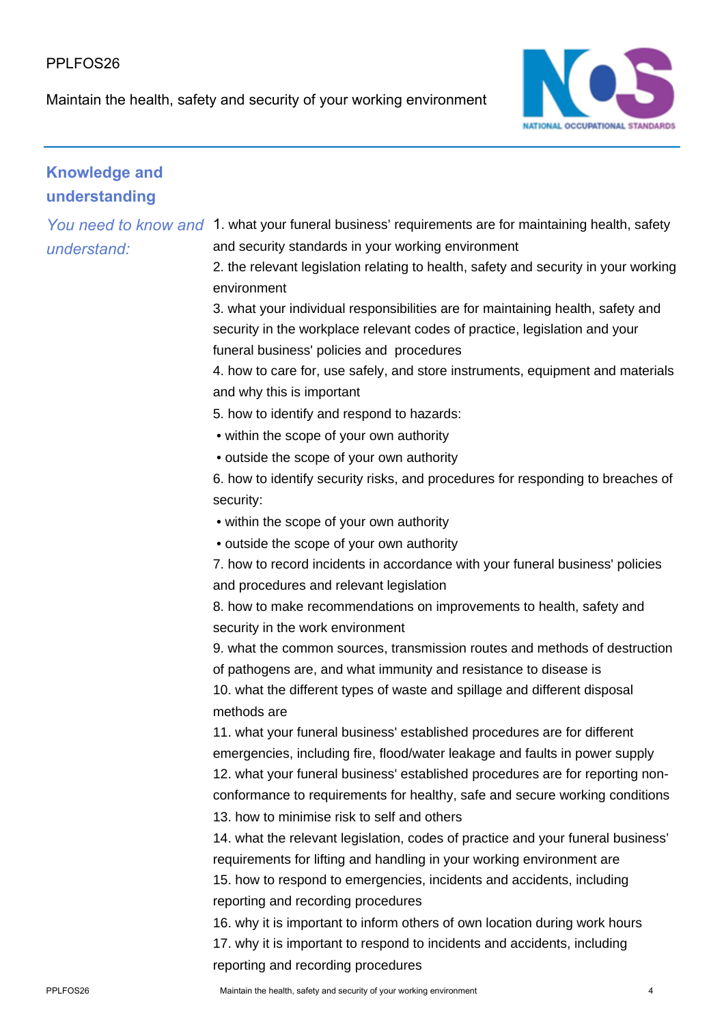### PPI FOS<sub>26</sub>

Maintain the health, safety and security of your working environment



# **Knowledge and understanding**

*understand:*

You need to know and 1. what your funeral business' requirements are for maintaining health, safety and security standards in your working environment 2. the relevant legislation relating to health, safety and security in your working

environment

3. what your individual responsibilities are for maintaining health, safety and security in the workplace relevant codes of practice, legislation and your funeral business' policies and procedures

4. how to care for, use safely, and store instruments, equipment and materials and why this is important

- 5. how to identify and respond to hazards:
- within the scope of your own authority
- outside the scope of your own authority

6. how to identify security risks, and procedures for responding to breaches of security:

- within the scope of your own authority
- outside the scope of your own authority

7. how to record incidents in accordance with your funeral business' policies and procedures and relevant legislation

8. how to make recommendations on improvements to health, safety and security in the work environment

9. what the common sources, transmission routes and methods of destruction of pathogens are, and what immunity and resistance to disease is 10. what the different types of waste and spillage and different disposal methods are

11. what your funeral business' established procedures are for different emergencies, including fire, flood/water leakage and faults in power supply 12. what your funeral business' established procedures are for reporting nonconformance to requirements for healthy, safe and secure working conditions 13. how to minimise risk to self and others

14. what the relevant legislation, codes of practice and your funeral business' requirements for lifting and handling in your working environment are 15. how to respond to emergencies, incidents and accidents, including reporting and recording procedures

16. why it is important to inform others of own location during work hours 17. why it is important to respond to incidents and accidents, including reporting and recording procedures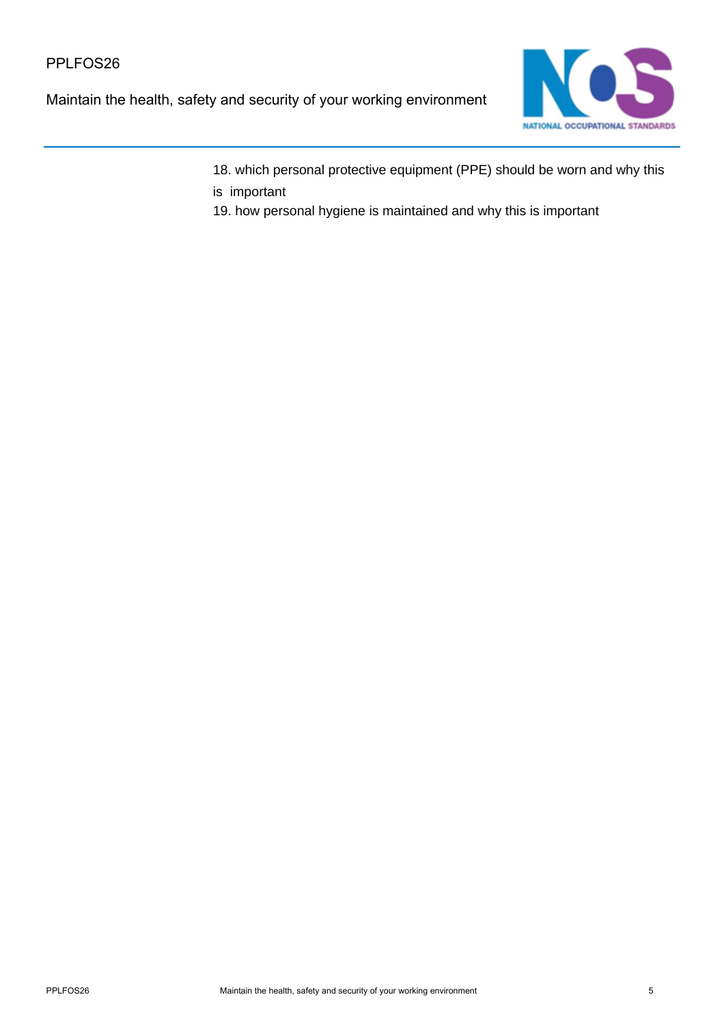Maintain the health, safety and security of your working environment



18. which personal protective equipment (PPE) should be worn and why this is important

19. how personal hygiene is maintained and why this is important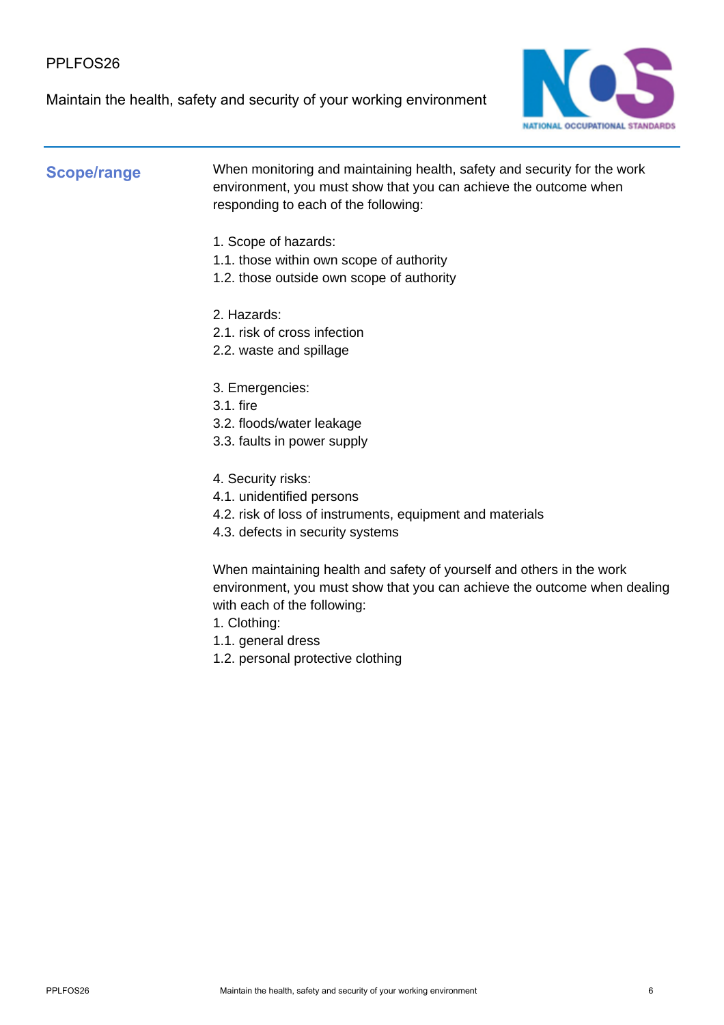### PPI FOS<sub>26</sub>

Maintain the health, safety and security of your working environment



**Scope/range** When monitoring and maintaining health, safety and security for the work environment, you must show that you can achieve the outcome when responding to each of the following:

- 1. Scope of hazards:
- 1.1. those within own scope of authority
- 1.2. those outside own scope of authority
- 2. Hazards:
- 2.1. risk of cross infection
- 2.2. waste and spillage
- 3. Emergencies:
- 3.1. fire
- 3.2. floods/water leakage
- 3.3. faults in power supply
- 4. Security risks:
- 4.1. unidentified persons
- 4.2. risk of loss of instruments, equipment and materials
- 4.3. defects in security systems

When maintaining health and safety of yourself and others in the work environment, you must show that you can achieve the outcome when dealing with each of the following:

- 1. Clothing:
- 1.1. general dress
- 1.2. personal protective clothing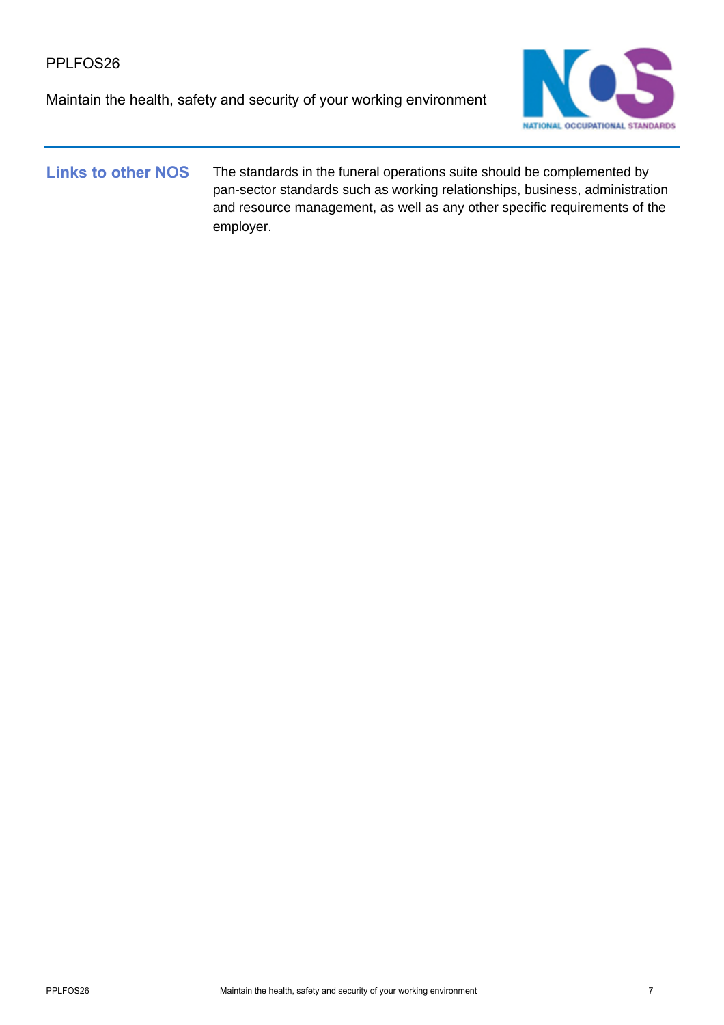Maintain the health, safety and security of your working environment



Links to other NOS The standards in the funeral operations suite should be complemented by pan-sector standards such as working relationships, business, administration and resource management, as well as any other specific requirements of the employer.